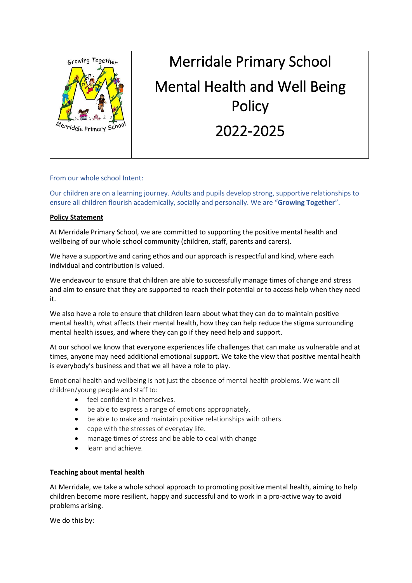

# Merridale Primary School Mental Health and Well Being **Policy** 2022-2025

# From our whole school Intent:

Our children are on a learning journey. Adults and pupils develop strong, supportive relationships to ensure all children flourish academically, socially and personally. We are "**Growing Together**".

## **Policy Statement**

At Merridale Primary School, we are committed to supporting the positive mental health and wellbeing of our whole school community (children, staff, parents and carers).

We have a supportive and caring ethos and our approach is respectful and kind, where each individual and contribution is valued.

We endeavour to ensure that children are able to successfully manage times of change and stress and aim to ensure that they are supported to reach their potential or to access help when they need it.

We also have a role to ensure that children learn about what they can do to maintain positive mental health, what affects their mental health, how they can help reduce the stigma surrounding mental health issues, and where they can go if they need help and support.

At our school we know that everyone experiences life challenges that can make us vulnerable and at times, anyone may need additional emotional support. We take the view that positive mental health is everybody's business and that we all have a role to play.

Emotional health and wellbeing is not just the absence of mental health problems. We want all children/young people and staff to:

- feel confident in themselves.
- be able to express a range of emotions appropriately.
- be able to make and maintain positive relationships with others.
- cope with the stresses of everyday life.
- manage times of stress and be able to deal with change
- learn and achieve.

## **Teaching about mental health**

At Merridale, we take a whole school approach to promoting positive mental health, aiming to help children become more resilient, happy and successful and to work in a pro-active way to avoid problems arising.

We do this by: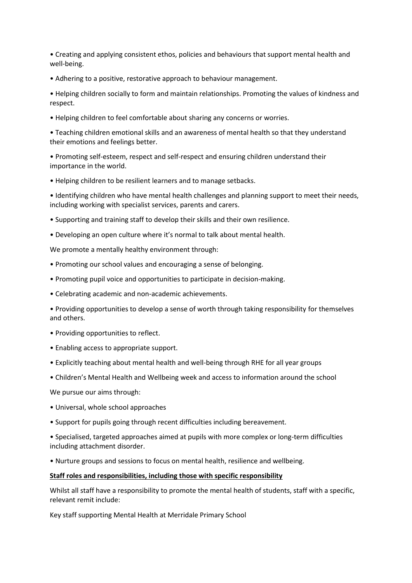• Creating and applying consistent ethos, policies and behaviours that support mental health and well-being.

• Adhering to a positive, restorative approach to behaviour management.

• Helping children socially to form and maintain relationships. Promoting the values of kindness and respect.

• Helping children to feel comfortable about sharing any concerns or worries.

• Teaching children emotional skills and an awareness of mental health so that they understand their emotions and feelings better.

• Promoting self-esteem, respect and self-respect and ensuring children understand their importance in the world.

• Helping children to be resilient learners and to manage setbacks.

• Identifying children who have mental health challenges and planning support to meet their needs, including working with specialist services, parents and carers.

- Supporting and training staff to develop their skills and their own resilience.
- Developing an open culture where it's normal to talk about mental health.

We promote a mentally healthy environment through:

- Promoting our school values and encouraging a sense of belonging.
- Promoting pupil voice and opportunities to participate in decision-making.
- Celebrating academic and non-academic achievements.

• Providing opportunities to develop a sense of worth through taking responsibility for themselves and others.

- Providing opportunities to reflect.
- Enabling access to appropriate support.
- Explicitly teaching about mental health and well-being through RHE for all year groups
- Children's Mental Health and Wellbeing week and access to information around the school

We pursue our aims through:

- Universal, whole school approaches
- Support for pupils going through recent difficulties including bereavement.
- Specialised, targeted approaches aimed at pupils with more complex or long-term difficulties including attachment disorder.
- Nurture groups and sessions to focus on mental health, resilience and wellbeing.

#### **Staff roles and responsibilities, including those with specific responsibility**

Whilst all staff have a responsibility to promote the mental health of students, staff with a specific, relevant remit include:

Key staff supporting Mental Health at Merridale Primary School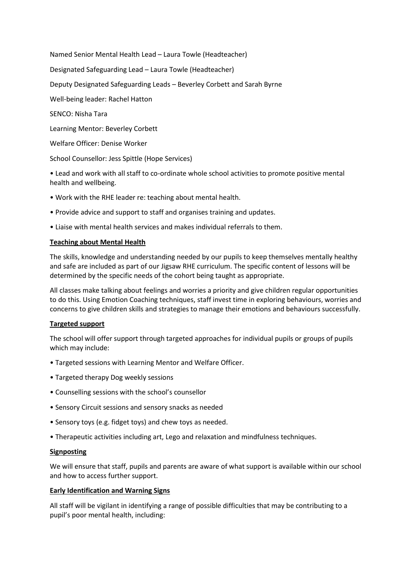Named Senior Mental Health Lead – Laura Towle (Headteacher)

Designated Safeguarding Lead – Laura Towle (Headteacher)

Deputy Designated Safeguarding Leads – Beverley Corbett and Sarah Byrne

Well-being leader: Rachel Hatton

SENCO: Nisha Tara

Learning Mentor: Beverley Corbett

Welfare Officer: Denise Worker

School Counsellor: Jess Spittle (Hope Services)

• Lead and work with all staff to co-ordinate whole school activities to promote positive mental health and wellbeing.

- Work with the RHE leader re: teaching about mental health.
- Provide advice and support to staff and organises training and updates.
- Liaise with mental health services and makes individual referrals to them.

## **Teaching about Mental Health**

The skills, knowledge and understanding needed by our pupils to keep themselves mentally healthy and safe are included as part of our Jigsaw RHE curriculum. The specific content of lessons will be determined by the specific needs of the cohort being taught as appropriate.

All classes make talking about feelings and worries a priority and give children regular opportunities to do this. Using Emotion Coaching techniques, staff invest time in exploring behaviours, worries and concerns to give children skills and strategies to manage their emotions and behaviours successfully.

# **Targeted support**

The school will offer support through targeted approaches for individual pupils or groups of pupils which may include:

- Targeted sessions with Learning Mentor and Welfare Officer.
- Targeted therapy Dog weekly sessions
- Counselling sessions with the school's counsellor
- Sensory Circuit sessions and sensory snacks as needed
- Sensory toys (e.g. fidget toys) and chew toys as needed.
- Therapeutic activities including art, Lego and relaxation and mindfulness techniques.

## **Signposting**

We will ensure that staff, pupils and parents are aware of what support is available within our school and how to access further support.

## **Early Identification and Warning Signs**

All staff will be vigilant in identifying a range of possible difficulties that may be contributing to a pupil's poor mental health, including: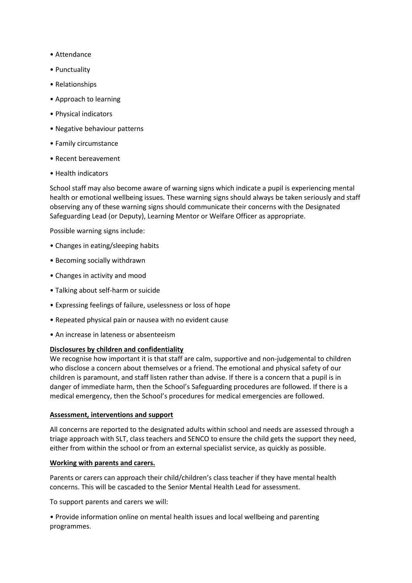- Attendance
- Punctuality
- Relationships
- Approach to learning
- Physical indicators
- Negative behaviour patterns
- Family circumstance
- Recent bereavement
- Health indicators

School staff may also become aware of warning signs which indicate a pupil is experiencing mental health or emotional wellbeing issues. These warning signs should always be taken seriously and staff observing any of these warning signs should communicate their concerns with the Designated Safeguarding Lead (or Deputy), Learning Mentor or Welfare Officer as appropriate.

Possible warning signs include:

- Changes in eating/sleeping habits
- Becoming socially withdrawn
- Changes in activity and mood
- Talking about self-harm or suicide
- Expressing feelings of failure, uselessness or loss of hope
- Repeated physical pain or nausea with no evident cause
- An increase in lateness or absenteeism

## **Disclosures by children and confidentiality**

We recognise how important it is that staff are calm, supportive and non-judgemental to children who disclose a concern about themselves or a friend. The emotional and physical safety of our children is paramount, and staff listen rather than advise. If there is a concern that a pupil is in danger of immediate harm, then the School's Safeguarding procedures are followed. If there is a medical emergency, then the School's procedures for medical emergencies are followed.

## **Assessment, interventions and support**

All concerns are reported to the designated adults within school and needs are assessed through a triage approach with SLT, class teachers and SENCO to ensure the child gets the support they need, either from within the school or from an external specialist service, as quickly as possible.

## **Working with parents and carers.**

Parents or carers can approach their child/children's class teacher if they have mental health concerns. This will be cascaded to the Senior Mental Health Lead for assessment.

To support parents and carers we will:

• Provide information online on mental health issues and local wellbeing and parenting programmes.